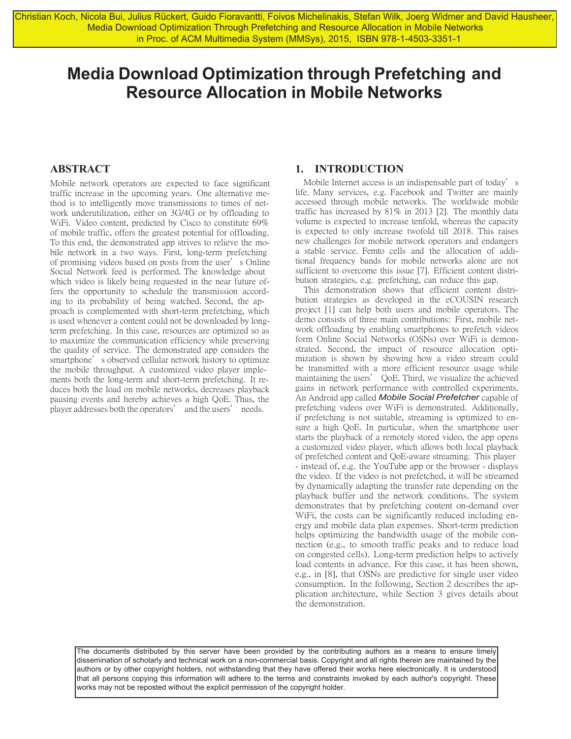Christian Koch, Nicola Bui, Julius Rückert, Guido Fioravantti, Foivos Michelinakis, Stefan Wilk, Joerg Widmer and David Hausheer, Media Download Optimization Through Prefetching and Resource Allocation in Mobile Networks in Proc. of ACM Multimedia System (MMSys), 2015, ISBN 978-1-4503-3351-1

# **Media Download Optimization through Prefetching and Resource Allocation in Mobile Networks**

# **ABSTRACT**

Mobile network operators are expected to face significant traffic increase in the upcoming years. One alternative method is to intelligently move transmissions to times of network underutilization, either on 3G/4G or by offloading to WiFi. Video content, predicted by Cisco to constitute 69% of mobile traffic, offers the greatest potential for offloading. To this end, the demonstrated app strives to relieve the mobile network in a two ways. First, long-term prefetching of promising videos based on posts from the user's Online Social Network feed is performed. The knowledge about which video is likely being requested in the near future offers the opportunity to schedule the transmission according to its probability of being watched. Second, the approach is complemented with short-term prefetching, which is used whenever a content could not be downloaded by longterm prefetching. In this case, resources are optimized so as to maximize the communication efficiency while preserving the quality of service. The demonstrated app considers the smartphone's observed cellular network history to optimize the mobile throughput. A customized video player implements both the long-term and short-term prefetching. It reduces both the load on mobile networks, decreases playback pausing events and hereby achieves a high QoE. Thus, the player addresses both the operators' and the users' needs.

# **1. INTRODUCTION**

Mobile Internet access is an indispensable part of today's life. Many services, e.g. Facebook and Twitter are mainly accessed through mobile networks. The worldwide mobile traffic has increased by  $81\%$  in 2013 [2]. The monthly data volume is expected to increase tenfold, whereas the capacity is expected to only increase twofold till 2018. This raises new challenges for mobile network operators and endangers a stable service. Femto cells and the allocation of additional frequency bands for mobile networks alone are not sufficient to overcome this issue [7]. Efficient content distribution strategies, e.g. prefetching, can reduce this gap.

This demonstration shows that efficient content distribution strategies as developed in the eCOUSIN research project [1] can help both users and mobile operators. The demo consists of three main contributions: First, mobile network offloading by enabling smartphones to prefetch videos form Online Social Networks (OSNs) over WiFi is demonstrated. Second, the impact of resource allocation optimization is shown by showing how a video stream could be transmitted with a more efficient resource usage while maintaining the users' QoE. Third, we visualize the achieved gains in network performance with controlled experiments. An Android app called **Mobile Social Prefetcher** capable of prefetching videos over WiFi is demonstrated. Additionally, if prefetching is not suitable, streaming is optimized to ensure a high QoE. In particular, when the smartphone user starts the playback of a remotely stored video, the app opens a customized video player, which allows both local playback of prefetched content and QoE-aware streaming. This player - instead of, e.g. the YouTube app or the browser - displays the video. If the video is not prefetched, it will be streamed by dynamically adapting the transfer rate depending on the playback buffer and the network conditions. The system demonstrates that by prefetching content on-demand over WiFi, the costs can be significantly reduced including energy and mobile data plan expenses. Short-term prediction helps optimizing the bandwidth usage of the mobile connection (e.g., to smooth traffic peaks and to reduce load on congested cells). Long-term prediction helps to actively load contents in advance. For this case, it has been shown, e.g., in [8], that OSNs are predictive for single user video consumption. In the following, Section 2 describes the application architecture, while Section 3 gives details about the demonstration.

The documents distributed by this server have been provided by the contributing authors as a means to ensure timely dissemination of scholarly and technical work on a non-commercial basis. Copyright and all rights therein are maintained by the authors or by other copyright holders, not withstanding that they have offered their works here electronically. It is understood that all persons copying this information will adhere to the terms and constraints invoked by each author's copyright. These works may not be reposted without the explicit permission of the copyright holder.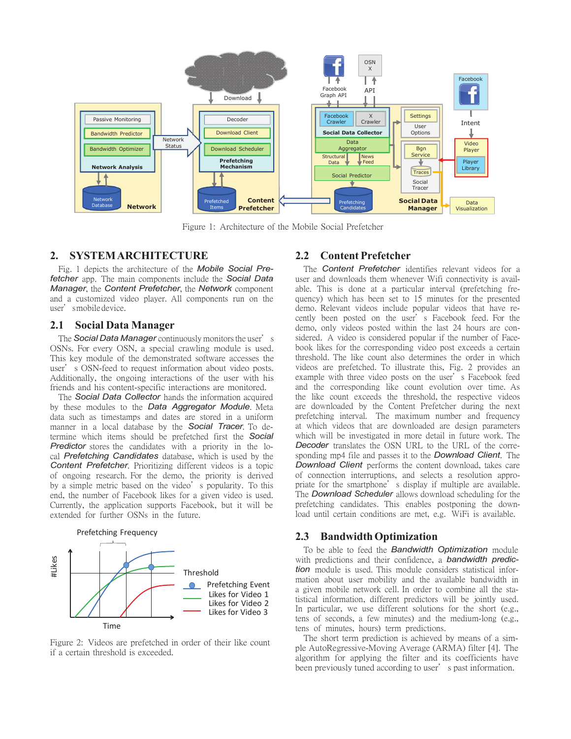

Figure 1: Architecture of the Mobile Social Prefetcher

# **2. SYSTEMARCHITECTURE**

Fig. 1 depicts the architecture of the **Mobile Social Pre***fetcher* app. The main components include the **Social Data** *Manager*, the *Content Prefetcher*, the *Network* component and a customized video player. All components run on the user' smobile device.

#### **2.1 Social Data Manager**

The **Social Data Manager** continuously monitors the user's OSNs. For every OSN, a special crawling module is used. This key module of the demonstrated software accesses the user' s OSN-feed to request information about video posts. Additionally, the ongoing interactions of the user with his friends and his content-specific interactions are monitored.

The **Social Data Collector** hands the information acquired by these modules to the **Data Aggregator Module**, Meta data such as timestamps and dates are stored in a uniform manner in a local database by the **Social Tracer**. To determine which items should be prefetched first the **Social** *Predictor* stores the candidates with a priority in the local Prefetching Candidates database, which is used by the *Content Prefetcher*, Prioritizing different videos is a topic of ongoing research. For the demo, the priority is derived by a simple metric based on the video' s popularity. To this end, the number of Facebook likes for a given video is used. Currently, the application supports Facebook, but it will be extended for further OSNs in the future.



Figure 2: Videos are prefetched in order of their like count if a certain threshold is exceeded.

## **2.2 Content Prefetcher**

The **Content Prefetcher** identifies relevant videos for a user and downloads them whenever Wifi connectivity is available. This is done at a particular interval (prefetching frequency) which has been set to 15 minutes for the presented demo. Relevant videos include popular videos that have recently been posted on the user' s Facebook feed. For the demo, only videos posted within the last 24 hours are considered. A video is considered popular if the number of Facebook likes for the corresponding video post exceeds a certain threshold. The like count also determines the order in which videos are prefetched. To illustrate this, Fig. 2 provides an example with three video posts on the user's Facebook feed and the corresponding like count evolution over time. As the like count exceeds the threshold, the respective videos are downloaded by the Content Prefetcher during the next prefetching interval. The maximum number and frequency at which videos that are downloaded are design parameters which will be investigated in more detail in future work. The *Decoder* translates the OSN URL to the URL of the corresponding mp4 file and passes it to the **Download Client**. The *Download Client* performs the content download, takes care of connection interruptions, and selects a resolution appropriate for the smartphone' s display if multiple are available. The **Download Scheduler** allows download scheduling for the prefetching candidates. This enables postponing the download until certain conditions are met, e.g. WiFi is available.

#### **2.3 Bandwidth Optimization**

To be able to feed the **Bandwidth Optimization** module with predictions and their confidence, a **bandwidth predic***tion* module is used. This module considers statistical information about user mobility and the available bandwidth in a given mobile network cell. In order to combine all the statistical information, different predictors will be jointly used. In particular, we use different solutions for the short (e.g., tens of seconds, a few minutes) and the medium-long (e.g., tens of minutes, hours) term predictions.

The short term prediction is achieved by means of a simple AutoRegressive-Moving Average (ARMA) filter [4]. The algorithm for applying the filter and its coefficients have been previously tuned according to user' s past information.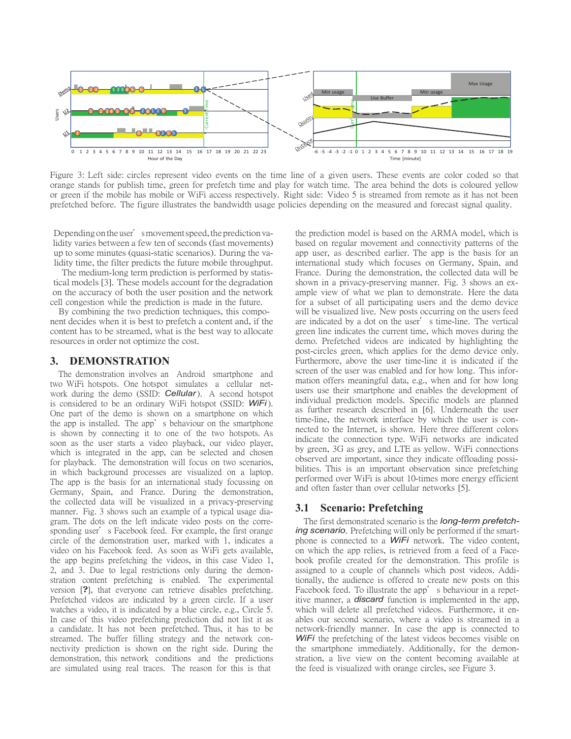

Figure 3: Left side: circles represent video events on the time line of a given users. These events are color coded so that orange stands for publish time, green for prefetch time and play for watch time. The area behind the dots is coloured yellow or green if the mobile has mobile or WiFi access respectively. Right side: Video 5 is streamed from remote as it has not been prefetched before. The figure illustrates the bandwidth usage policies depending on the measured and forecast signal quality.

Depending on the user' smovement speed, the prediction validity varies between a few ten of seconds (fast movements) up to some minutes (quasi-static scenarios). During the validity time, the filter predicts the future mobile throughput.

The medium-long term prediction is performed by statistical models [3]. These models account for the degradation on the accuracy of both the user position and the network cell congestion while the prediction is made in the future.

By combining the two prediction techniques, this component decides when it is best to prefetch a content and, if the content has to be streamed, what is the best way to allocate resources in order not optimize the cost.

#### **3. DEMONSTRATION**

The demonstration involves an Android smartphone and two WiFi hotspots. One hotspot simulates a cellular network during the demo (SSID: **Cellular**). A second hotspot is considered to be an ordinary WiFi hotspot (SSID: *WiFi*). One part of the demo is shown on a smartphone on which the app is installed. The app' s behaviour on the smartphone is shown by connecting it to one of the two hotspots. As soon as the user starts a video playback, our video player, which is integrated in the app, can be selected and chosen for playback. The demonstration will focus on two scenarios, in which background processes are visualized on a laptop. The app is the basis for an international study focussing on Germany, Spain, and France. During the demonstration, the collected data will be visualized in a privacy-preserving manner. Fig. 3 shows such an example of a typical usage diagram. The dots on the left indicate video posts on the corresponding user's Facebook feed. For example, the first orange circle of the demonstration user, marked with 1, indicates a video on his Facebook feed. As soon as WiFi gets available, the app begins prefetching the videos, in this case Video 1, 2, and 3. Due to legal restrictions only during the demonstration content prefetching is enabled. The experimental version [?], that everyone can retrieve disables prefetching. Prefetched videos are indicated by a green circle. If a user watches a video, it is indicated by a blue circle, e.g., Circle 5. In case of this video prefetching prediction did not list it as a candidate. It has not been prefetched. Thus, it has to be streamed. The buffer filling strategy and the network connectivity prediction is shown on the right side. During the demonstration, this network conditions and the predictions are simulated using real traces. The reason for this is that

the prediction model is based on the ARMA model, which is based on regular movement and connectivity patterns of the app user, as described earlier. The app is the basis for an international study which focuses on Germany, Spain, and France. During the demonstration, the collected data will be shown in a privacy-preserving manner. Fig. 3 shows an example view of what we plan to demonstrate. Here the data for a subset of all participating users and the demo device will be visualized live. New posts occurring on the users feed are indicated by a dot on the user' s time-line. The vertical green line indicates the current time, which moves during the demo. Prefetched videos are indicated by highlighting the post-circles green, which applies for the demo device only. Furthermore, above the user time-line it is indicated if the screen of the user was enabled and for how long. This information offers meaningful data, e.g., when and for how long users use their smartphone and enables the development of individual prediction models. Specific models are planned as further research described in [6]. Underneath the user time-line, the network interface by which the user is connected to the Internet, is shown. Here three different colors indicate the connection type. WiFi networks are indicated by green, 3G as grey, and LTE as yellow. WiFi connections observed are important, since they indicate offloading possibilities. This is an important observation since prefetching performed over WiFi is about 10-times more energy efficient and often faster than over cellular networks [5].

# **3.1 Scenario: Prefetching**

The first demonstrated scenario is the **long-term prefetch***ing scenario*, Prefetching will only be performed if the smartphone is connected to a **WiFi** network. The video content, on which the app relies, is retrieved from a feed of a Facebook profile created for the demonstration. This profile is assigned to a couple of channels which post videos. Additionally, the audience is offered to create new posts on this Facebook feed. To illustrate the app' s behaviour in a repetitive manner, a **discard** function is implemented in the app, which will delete all prefetched videos. Furthermore, it enables our second scenario, where a video is streamed in a network-friendly manner. In case the app is connected to *WiFi* the prefetching of the latest videos becomes visible on the smartphone immediately. Additionally, for the demonstration, a live view on the content becoming available at the feed is visualized with orange circles, see Figure 3.